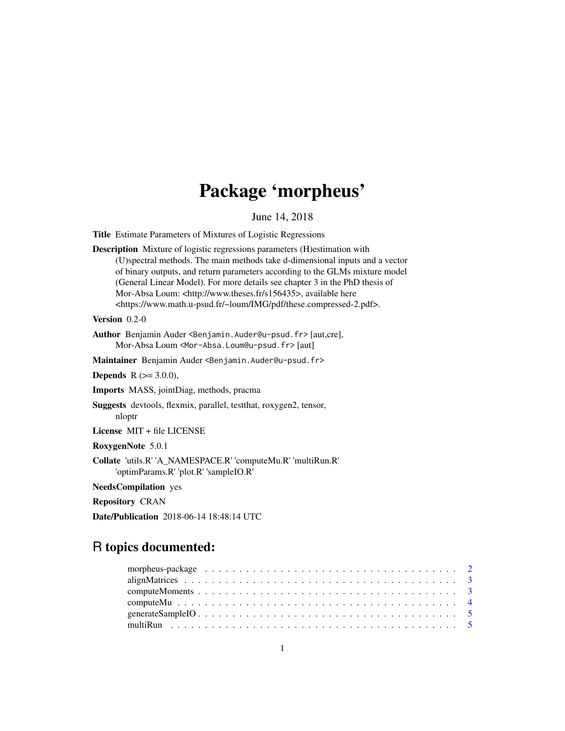# Package 'morpheus'

June 14, 2018

Title Estimate Parameters of Mixtures of Logistic Regressions

Description Mixture of logistic regressions parameters (H)estimation with (U)spectral methods. The main methods take d-dimensional inputs and a vector of binary outputs, and return parameters according to the GLMs mixture model (General Linear Model). For more details see chapter 3 in the PhD thesis of Mor-Absa Loum: <http://www.theses.fr/s156435>, available here <https://www.math.u-psud.fr/~loum/IMG/pdf/these.compressed-2.pdf>.

Version 0.2-0

Author Benjamin Auder <Benjamin.Auder@u-psud.fr> [aut,cre], Mor-Absa Loum <Mor-Absa.Loum@u-psud.fr> [aut]

Maintainer Benjamin Auder <Benjamin.Auder@u-psud.fr>

**Depends** R  $(>= 3.0.0)$ ,

Imports MASS, jointDiag, methods, pracma

Suggests devtools, flexmix, parallel, testthat, roxygen2, tensor, nloptr

License MIT + file LICENSE

RoxygenNote 5.0.1

Collate 'utils.R' 'A\_NAMESPACE.R' 'computeMu.R' 'multiRun.R' 'optimParams.R' 'plot.R' 'sampleIO.R'

NeedsCompilation yes

Repository CRAN

Date/Publication 2018-06-14 18:48:14 UTC

# R topics documented:

| morpheus-package $\ldots \ldots \ldots \ldots \ldots \ldots \ldots \ldots \ldots \ldots \ldots \ldots \ldots 2$ |  |
|-----------------------------------------------------------------------------------------------------------------|--|
|                                                                                                                 |  |
|                                                                                                                 |  |
|                                                                                                                 |  |
|                                                                                                                 |  |
|                                                                                                                 |  |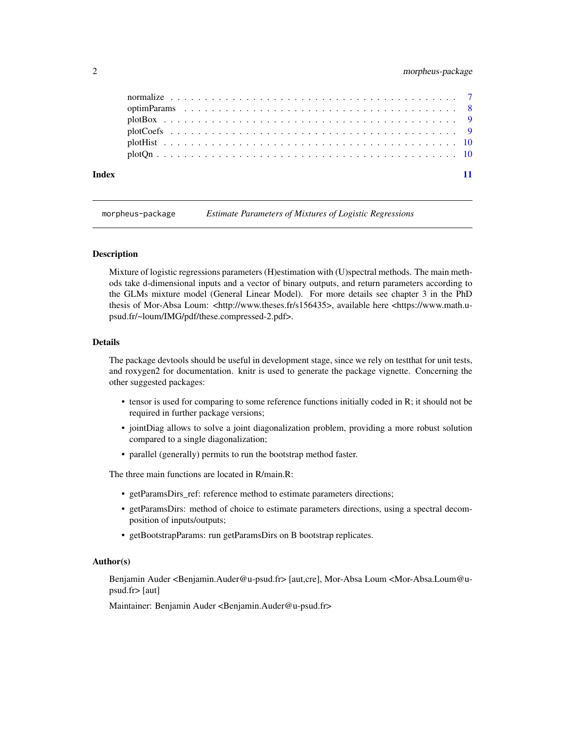# <span id="page-1-0"></span>2 morpheus-package

| Index |  |  |  |  |  |  |  |  |  |  |  |  |  |  |  |  |  |  |  |  |  |
|-------|--|--|--|--|--|--|--|--|--|--|--|--|--|--|--|--|--|--|--|--|--|

morpheus-package *Estimate Parameters of Mixtures of Logistic Regressions*

#### Description

Mixture of logistic regressions parameters (H)estimation with (U)spectral methods. The main methods take d-dimensional inputs and a vector of binary outputs, and return parameters according to the GLMs mixture model (General Linear Model). For more details see chapter 3 in the PhD thesis of Mor-Absa Loum: <http://www.theses.fr/s156435>, available here <https://www.math.upsud.fr/~loum/IMG/pdf/these.compressed-2.pdf>.

#### Details

The package devtools should be useful in development stage, since we rely on testthat for unit tests, and roxygen2 for documentation. knitr is used to generate the package vignette. Concerning the other suggested packages:

- tensor is used for comparing to some reference functions initially coded in R; it should not be required in further package versions;
- jointDiag allows to solve a joint diagonalization problem, providing a more robust solution compared to a single diagonalization;
- parallel (generally) permits to run the bootstrap method faster.

The three main functions are located in R/main.R:

- getParamsDirs\_ref: reference method to estimate parameters directions;
- getParamsDirs: method of choice to estimate parameters directions, using a spectral decomposition of inputs/outputs;
- getBootstrapParams: run getParamsDirs on B bootstrap replicates.

#### Author(s)

Benjamin Auder <Benjamin.Auder@u-psud.fr> [aut,cre], Mor-Absa Loum <Mor-Absa.Loum@upsud.fr> [aut]

Maintainer: Benjamin Auder <Benjamin.Auder@u-psud.fr>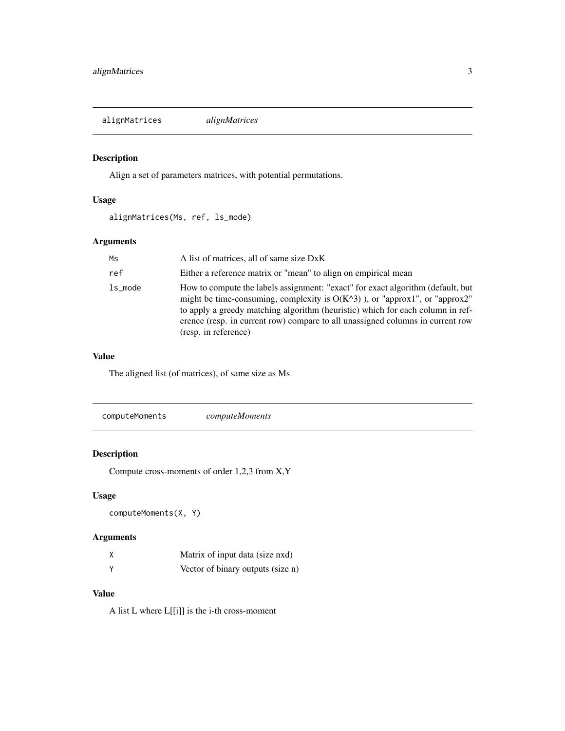<span id="page-2-0"></span>alignMatrices *alignMatrices*

# Description

Align a set of parameters matrices, with potential permutations.

# Usage

```
alignMatrices(Ms, ref, ls_mode)
```
# Arguments

| Ms      | A list of matrices, all of same size DxK                                                                                                                                                                                                                                                                                                                     |
|---------|--------------------------------------------------------------------------------------------------------------------------------------------------------------------------------------------------------------------------------------------------------------------------------------------------------------------------------------------------------------|
| ref     | Either a reference matrix or "mean" to align on empirical mean                                                                                                                                                                                                                                                                                               |
| ls mode | How to compute the labels assignment: "exact" for exact algorithm (default, but<br>might be time-consuming, complexity is $O(K^3)$ ), or "approx1", or "approx2"<br>to apply a greedy matching algorithm (heuristic) which for each column in ref-<br>erence (resp. in current row) compare to all unassigned columns in current row<br>(resp. in reference) |

# Value

The aligned list (of matrices), of same size as Ms

|--|--|

# Description

Compute cross-moments of order 1,2,3 from X,Y

# Usage

computeMoments(X, Y)

# Arguments

| Matrix of input data (size nxd)   |
|-----------------------------------|
| Vector of binary outputs (size n) |

# Value

A list L where L[[i]] is the i-th cross-moment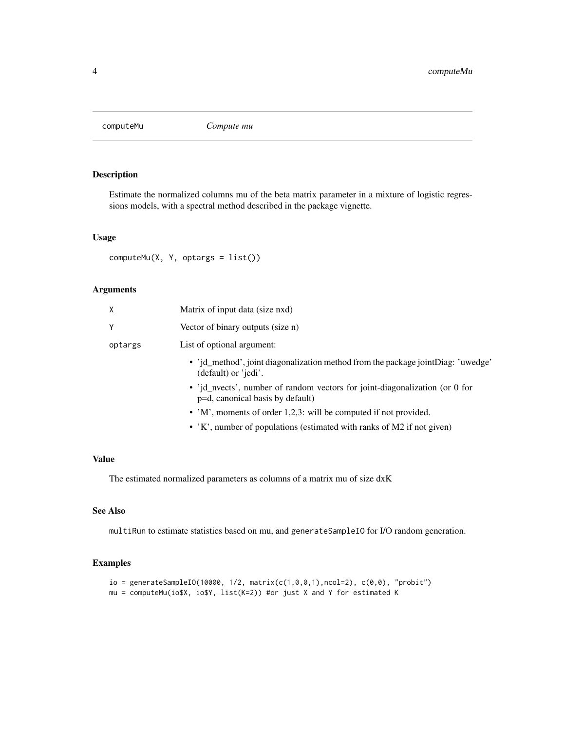<span id="page-3-0"></span>

### Description

Estimate the normalized columns mu of the beta matrix parameter in a mixture of logistic regressions models, with a spectral method described in the package vignette.

#### Usage

computeMu(X, Y, optargs = list())

# Arguments

| χ       | Matrix of input data (size nxd)                                                                                 |
|---------|-----------------------------------------------------------------------------------------------------------------|
|         | Vector of binary outputs (size n)                                                                               |
| optargs | List of optional argument:                                                                                      |
|         | • 'jd_method', joint diagonalization method from the package joint Diag: 'uwedge'<br>(default) or 'jedi'.       |
|         | • 'id nyects', number of random vectors for joint-diagonalization (or 0 for<br>p=d, canonical basis by default) |
|         | • 'M', moments of order 1,2,3: will be computed if not provided.                                                |
|         | • 'K', number of populations (estimated with ranks of M2 if not given)                                          |

#### Value

The estimated normalized parameters as columns of a matrix mu of size dxK

# See Also

multiRun to estimate statistics based on mu, and generateSampleIO for I/O random generation.

# Examples

```
io = generateSampleIO(10000, 1/2, matrix(c(1,0,0,1), ncol=2), c(0,0), 'probit")mu = computeMu(io$X, io$Y, list(K=2)) #or just X and Y for estimated K
```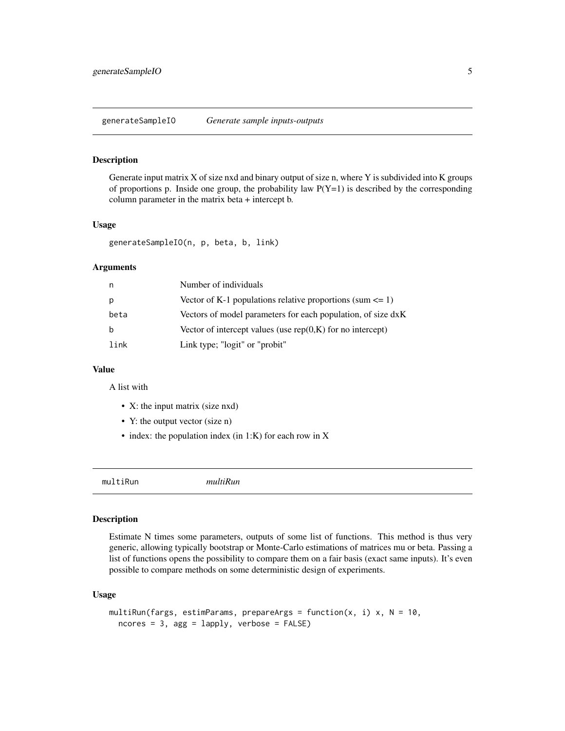<span id="page-4-0"></span>generateSampleIO *Generate sample inputs-outputs*

#### Description

Generate input matrix X of size nxd and binary output of size n, where Y is subdivided into K groups of proportions p. Inside one group, the probability law  $P(Y=1)$  is described by the corresponding column parameter in the matrix beta + intercept b.

#### Usage

```
generateSampleIO(n, p, beta, b, link)
```
### Arguments

| n    | Number of individuals                                          |
|------|----------------------------------------------------------------|
|      | Vector of K-1 populations relative proportions (sum $\leq 1$ ) |
| beta | Vectors of model parameters for each population, of size dxK   |
| h    | Vector of intercept values (use $rep(0,K)$ for no intercept)   |
| link | Link type; "logit" or "probit"                                 |

#### Value

A list with

- X: the input matrix (size nxd)
- Y: the output vector (size n)
- index: the population index (in 1:K) for each row in X

multiRun *multiRun*

#### Description

Estimate N times some parameters, outputs of some list of functions. This method is thus very generic, allowing typically bootstrap or Monte-Carlo estimations of matrices mu or beta. Passing a list of functions opens the possibility to compare them on a fair basis (exact same inputs). It's even possible to compare methods on some deterministic design of experiments.

#### Usage

```
multiRun(fargs, estimParams, prepareArgs = function(x, i) x, N = 10,
  ncores = 3, agg = lapply, verbose = FALSE)
```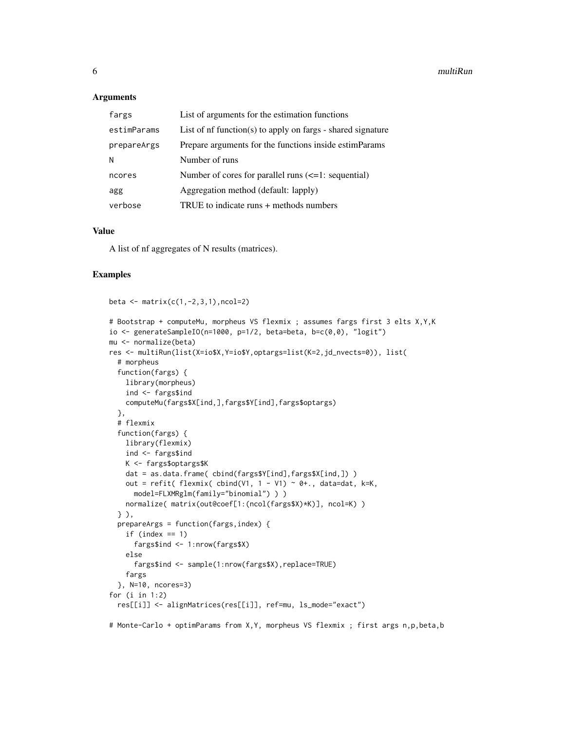#### **Arguments**

| fargs       | List of arguments for the estimation functions                 |
|-------------|----------------------------------------------------------------|
| estimParams | List of $nf$ function(s) to apply on fargs - shared signature  |
| prepareArgs | Prepare arguments for the functions inside estimParams         |
| Ν           | Number of runs                                                 |
| ncores      | Number of cores for parallel runs $\left(\leq 1$ : sequential) |
| agg         | Aggregation method (default: lapply)                           |
| verbose     | TRUE to indicate runs + methods numbers                        |

#### Value

A list of nf aggregates of N results (matrices).

#### Examples

```
beta \leq matrix(c(1,-2,3,1), ncol=2)
# Bootstrap + computeMu, morpheus VS flexmix ; assumes fargs first 3 elts X,Y,K
io \leq generateSampleIO(n=1000, p=1/2, beta=beta, b=c(0,0), "logit")
mu <- normalize(beta)
res <- multiRun(list(X=io$X,Y=io$Y,optargs=list(K=2,jd_nvects=0)), list(
  # morpheus
  function(fargs) {
   library(morpheus)
   ind <- fargs$ind
   computeMu(fargs$X[ind,],fargs$Y[ind],fargs$optargs)
  },
  # flexmix
  function(fargs) {
   library(flexmix)
    ind <- fargs$ind
   K <- fargs$optargs$K
   dat = as.data.frame( cbind(fargs$Y[ind],fargs$X[ind,]) )
   out = refit( flexmix( cbind(V1, 1 - V1) ~ 0+., data=dat, k=K,
     model=FLXMRglm(family="binomial") ) )
   normalize( matrix(out@coef[1:(ncol(fargs$X)*K)], ncol=K) )
  } ),
  prepareArgs = function(fargs,index) {
    if (index == 1)
      fargs$ind <- 1:nrow(fargs$X)
    else
      fargs$ind <- sample(1:nrow(fargs$X),replace=TRUE)
    fargs
  }, N=10, ncores=3)
for (i in 1:2)
  res[[i]] <- alignMatrices(res[[i]], ref=mu, ls_mode="exact")
# Monte-Carlo + optimParams from X,Y, morpheus VS flexmix ; first args n,p,beta,b
```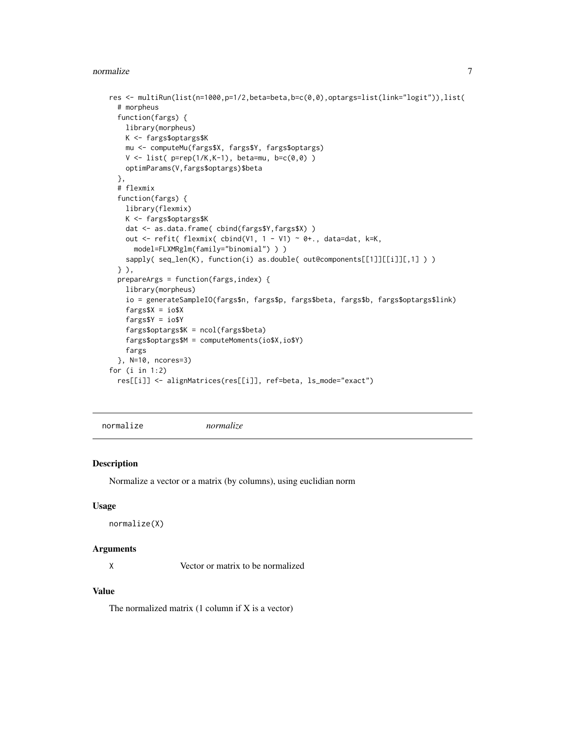#### <span id="page-6-0"></span>normalize **7**

```
res <- multiRun(list(n=1000,p=1/2,beta=beta,b=c(0,0),optargs=list(link="logit")),list(
 # morpheus
 function(fargs) {
   library(morpheus)
   K <- fargs$optargs$K
   mu <- computeMu(fargs$X, fargs$Y, fargs$optargs)
   V \le - list( p = rep(1/K,K-1), beta=mu, b=c(0,0))
   optimParams(V,fargs$optargs)$beta
 },
 # flexmix
 function(fargs) {
   library(flexmix)
   K <- fargs$optargs$K
   dat <- as.data.frame( cbind(fargs$Y,fargs$X) )
   out <- refit( flexmix( cbind(V1, 1 - V1) ~ 0+., data=dat, k=K,
     model=FLXMRglm(family="binomial") ) )
    sapply( seq_len(K), function(i) as.double( out@components[[1]][[i]][,1] ) )
 } ),
 prepareArgs = function(fargs,index) {
    library(morpheus)
    io = generateSampleIO(fargs$n, fargs$p, fargs$beta, fargs$b, fargs$optargs$link)
   fargs X = iofargs$Y = io$Y
    fargs$optargs$K = ncol(fargs$beta)
   fargs$optargs$M = computeMoments(io$X,io$Y)
   fargs
 }, N=10, ncores=3)
for (i in 1:2)
 res[[i]] <- alignMatrices(res[[i]], ref=beta, ls_mode="exact")
```
normalize *normalize*

#### Description

Normalize a vector or a matrix (by columns), using euclidian norm

#### Usage

```
normalize(X)
```
#### Arguments

X Vector or matrix to be normalized

### Value

The normalized matrix  $(1$  column if  $X$  is a vector)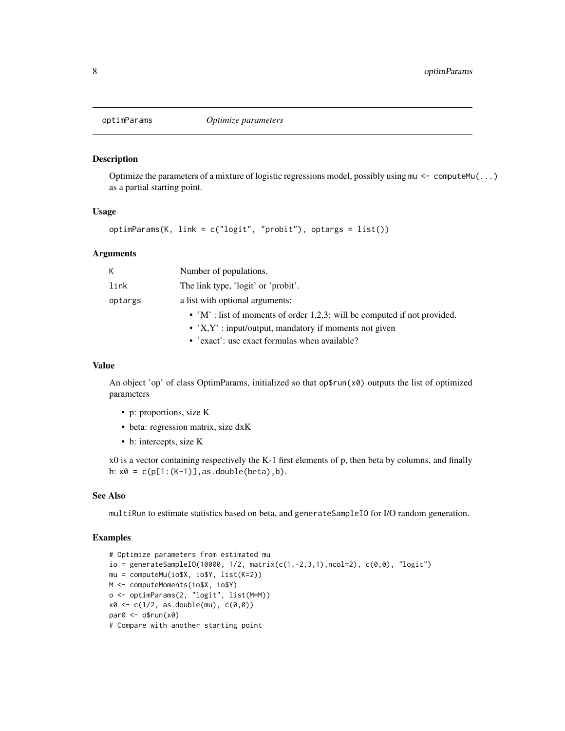<span id="page-7-0"></span>

#### Description

Optimize the parameters of a mixture of logistic regressions model, possibly using  $m \leq$  computeMu $(\dots)$ as a partial starting point.

#### Usage

optimParams(K, link = c("logit", "probit"), optargs = list())

# Arguments

| K       | Number of populations.                                                    |
|---------|---------------------------------------------------------------------------|
| link    | The link type, 'logit' or 'probit'.                                       |
| optargs | a list with optional arguments:                                           |
|         | • 'M' : list of moments of order 1,2,3: will be computed if not provided. |
|         | • $X, Y'$ : input/output, mandatory if moments not given                  |
|         | • 'exact': use exact formulas when available?                             |

#### Value

An object 'op' of class OptimParams, initialized so that  $op$rm(x0)$  outputs the list of optimized parameters

- p: proportions, size K
- beta: regression matrix, size dxK
- b: intercepts, size K

 $x0$  is a vector containing respectively the K-1 first elements of p, then beta by columns, and finally b:  $x0 = c(p[1:(K-1)],$  as.double(beta), b).

#### See Also

multiRun to estimate statistics based on beta, and generateSampleIO for I/O random generation.

#### Examples

```
# Optimize parameters from estimated mu
io = generateSampleIO(10000, 1/2, matrix(c(1, -2, 3, 1), ncol=2), c(0, 0), "logit")mu = computeMu(io$X, io$Y, list(K=2))
M <- computeMoments(io$X, io$Y)
o <- optimParams(2, "logit", list(M=M))
x0 \leq c(1/2, as.double(mu), c(0,0))par@ < - ofrun(x@)# Compare with another starting point
```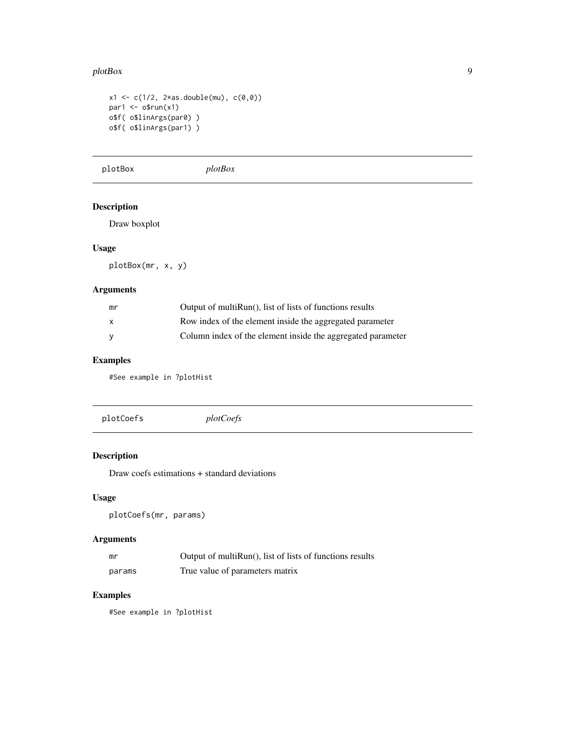#### <span id="page-8-0"></span>plotBox  $\qquad \qquad \qquad 9$

```
x1 \leq c(1/2, 2*as.double(mu), c(0,0))par1 < -o$run(x1)o$f( o$linArgs(par0) )
o$f( o$linArgs(par1) )
```
plotBox *plotBox*

# Description

Draw boxplot

# Usage

plotBox(mr, x, y)

# Arguments

| mr           | Output of multiRun(), list of lists of functions results    |
|--------------|-------------------------------------------------------------|
| $\mathsf{x}$ | Row index of the element inside the aggregated parameter    |
| <b>V</b>     | Column index of the element inside the aggregated parameter |

# Examples

#See example in ?plotHist

plotCoefs *plotCoefs*

# Description

Draw coefs estimations + standard deviations

# Usage

plotCoefs(mr, params)

# Arguments

| mr     | Output of multiRun(), list of lists of functions results |
|--------|----------------------------------------------------------|
| params | True value of parameters matrix                          |

# Examples

#See example in ?plotHist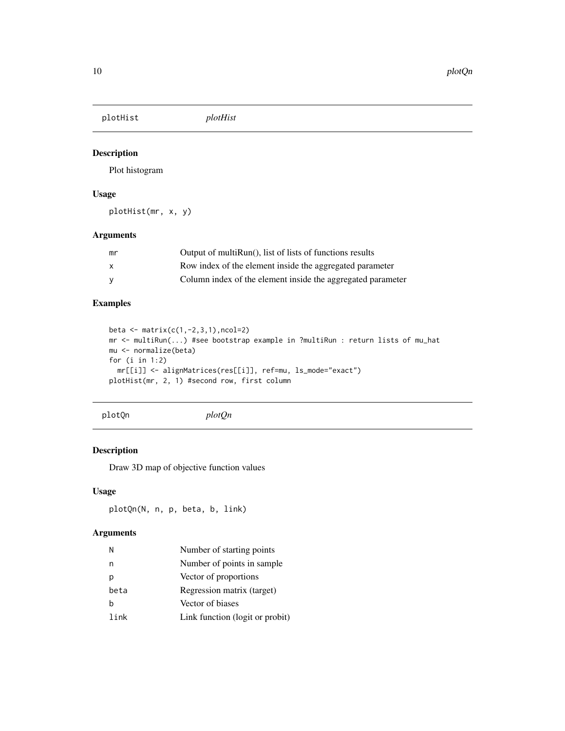<span id="page-9-0"></span>plotHist *plotHist*

# Description

Plot histogram

# Usage

plotHist(mr, x, y)

# Arguments

| mr           | Output of multiRun(), list of lists of functions results    |
|--------------|-------------------------------------------------------------|
| $\mathsf{x}$ | Row index of the element inside the aggregated parameter    |
| <b>V</b>     | Column index of the element inside the aggregated parameter |

# Examples

```
beta <- matrix(c(1,-2,3,1),ncol=2)
mr <- multiRun(...) #see bootstrap example in ?multiRun : return lists of mu_hat
mu <- normalize(beta)
for (i in 1:2)
  mr[[i]] <- alignMatrices(res[[i]], ref=mu, ls_mode="exact")
plotHist(mr, 2, 1) #second row, first column
```
plotQn *plotQn*

#### Description

Draw 3D map of objective function values

# Usage

plotQn(N, n, p, beta, b, link)

# Arguments

| Ν    | Number of starting points       |
|------|---------------------------------|
| n    | Number of points in sample.     |
| n    | Vector of proportions           |
| beta | Regression matrix (target)      |
| h    | Vector of biases                |
| link | Link function (logit or probit) |
|      |                                 |